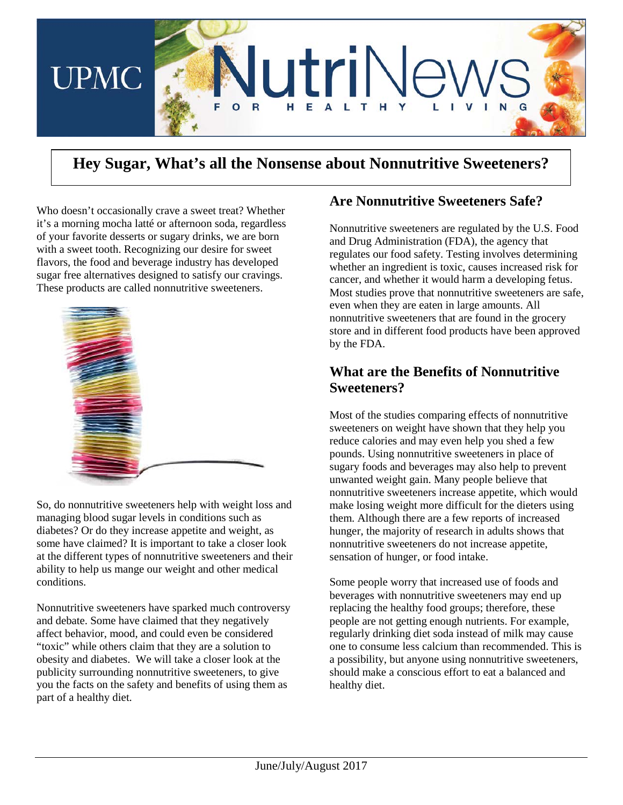

# **Hey Sugar, What's all the Nonsense about Nonnutritive Sweeteners?**

Who doesn't occasionally crave a sweet treat? Whether it's a morning mocha latté or afternoon soda, regardless of your favorite desserts or sugary drinks, we are born with a sweet tooth. Recognizing our desire for sweet flavors, the food and beverage industry has developed sugar free alternatives designed to satisfy our cravings. These products are called nonnutritive sweeteners.



So, do nonnutritive sweeteners help with weight loss and managing blood sugar levels in conditions such as diabetes? Or do they increase appetite and weight, as some have claimed? It is important to take a closer look at the different types of nonnutritive sweeteners and their ability to help us mange our weight and other medical conditions.

Nonnutritive sweeteners have sparked much controversy and debate. Some have claimed that they negatively affect behavior, mood, and could even be considered "toxic" while others claim that they are a solution to obesity and diabetes. We will take a closer look at the publicity surrounding nonnutritive sweeteners, to give you the facts on the safety and benefits of using them as part of a healthy diet.

### **Are Nonnutritive Sweeteners Safe?**

Nonnutritive sweeteners are regulated by the U.S. Food and Drug Administration (FDA), the agency that regulates our food safety. Testing involves determining whether an ingredient is toxic, causes increased risk for cancer, and whether it would harm a developing fetus. Most studies prove that nonnutritive sweeteners are safe, even when they are eaten in large amounts. All nonnutritive sweeteners that are found in the grocery store and in different food products have been approved by the FDA.

### **What are the Benefits of Nonnutritive Sweeteners?**

Most of the studies comparing effects of nonnutritive sweeteners on weight have shown that they help you reduce calories and may even help you shed a few pounds. Using nonnutritive sweeteners in place of sugary foods and beverages may also help to prevent unwanted weight gain. Many people believe that nonnutritive sweeteners increase appetite, which would make losing weight more difficult for the dieters using them. Although there are a few reports of increased hunger, the majority of research in adults shows that nonnutritive sweeteners do not increase appetite, sensation of hunger, or food intake.

Some people worry that increased use of foods and beverages with nonnutritive sweeteners may end up replacing the healthy food groups; therefore, these people are not getting enough nutrients. For example, regularly drinking diet soda instead of milk may cause one to consume less calcium than recommended. This is a possibility, but anyone using nonnutritive sweeteners, should make a conscious effort to eat a balanced and healthy diet.